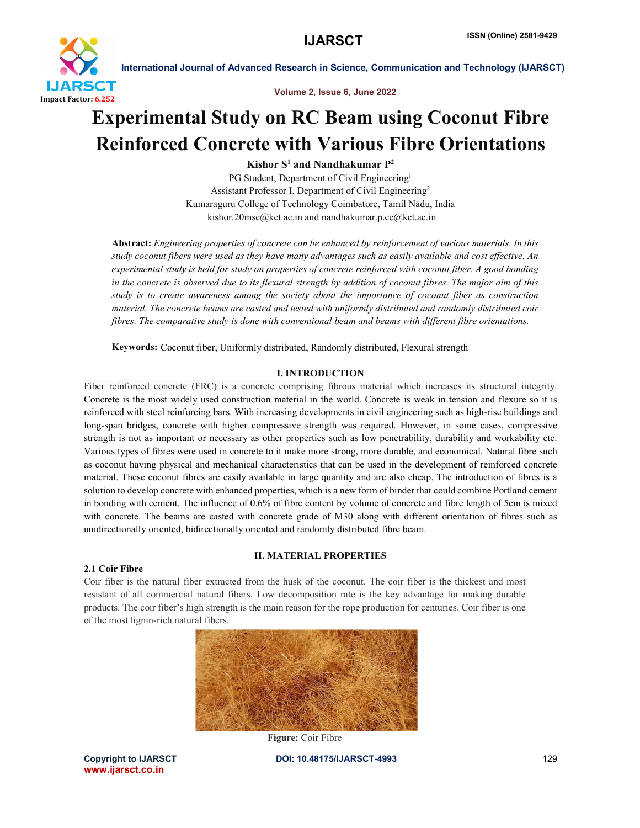



# Experimental Study on RC Beam using Coconut Fibre Reinforced Concrete with Various Fibre Orientations

Kishor  $S^1$  and Nandhakumar  $P^2$ 

PG Student, Department of Civil Engineering<sup>1</sup> Assistant Professor I, Department of Civil Engineering2 Kumaraguru College of Technology Coimbatore, Tamil Nādu, India kishor.20mse@kct.ac.in and nandhakumar.p.ce@kct.ac.in

Abstract: *Engineering properties of concrete can be enhanced by reinforcement of various materials. In this study coconut fibers were used as they have many advantages such as easily available and cost effective. An experimental study is held for study on properties of concrete reinforced with coconut fiber. A good bonding in the concrete is observed due to its flexural strength by addition of coconut fibres. The major aim of this study is to create awareness among the society about the importance of coconut fiber as construction material. The concrete beams are casted and tested with uniformly distributed and randomly distributed coir fibres. The comparative study is done with conventional beam and beams with different fibre orientations.*

Keywords: Coconut fiber, Uniformly distributed, Randomly distributed, Flexural strength

### I. INTRODUCTION

Fiber reinforced concrete (FRC) is a concrete comprising fibrous material which increases its structural integrity. Concrete is the most widely used construction material in the world. Concrete is weak in tension and flexure so it is reinforced with steel reinforcing bars. With increasing developments in civil engineering such as high-rise buildings and long-span bridges, concrete with higher compressive strength was required. However, in some cases, compressive strength is not as important or necessary as other properties such as low penetrability, durability and workability etc. Various types of fibres were used in concrete to it make more strong, more durable, and economical. Natural fibre such as coconut having physical and mechanical characteristics that can be used in the development of reinforced concrete material. These coconut fibres are easily available in large quantity and are also cheap. The introduction of fibres is a solution to develop concrete with enhanced properties, which is a new form of binder that could combine Portland cement in bonding with cement. The influence of 0.6% of fibre content by volume of concrete and fibre length of 5cm is mixed with concrete. The beams are casted with concrete grade of M30 along with different orientation of fibres such as unidirectionally oriented, bidirectionally oriented and randomly distributed fibre beam.

### II. MATERIAL PROPERTIES

#### 2.1 Coir Fibre

Coir fiber is the natural fiber extracted from the husk of the coconut. The coir fiber is the thickest and most resistant of all commercial natural fibers. Low decomposition rate is the key advantage for making durable products. The coir fiber's high strength is the main reason for the rope production for centuries. Coir fiber is one of the most lignin-rich natural fibers.



Figure: Coir Fibre

www.ijarsct.co.in

Copyright to IJARSCT **DOI: 10.48175/IJARSCT-4993** 129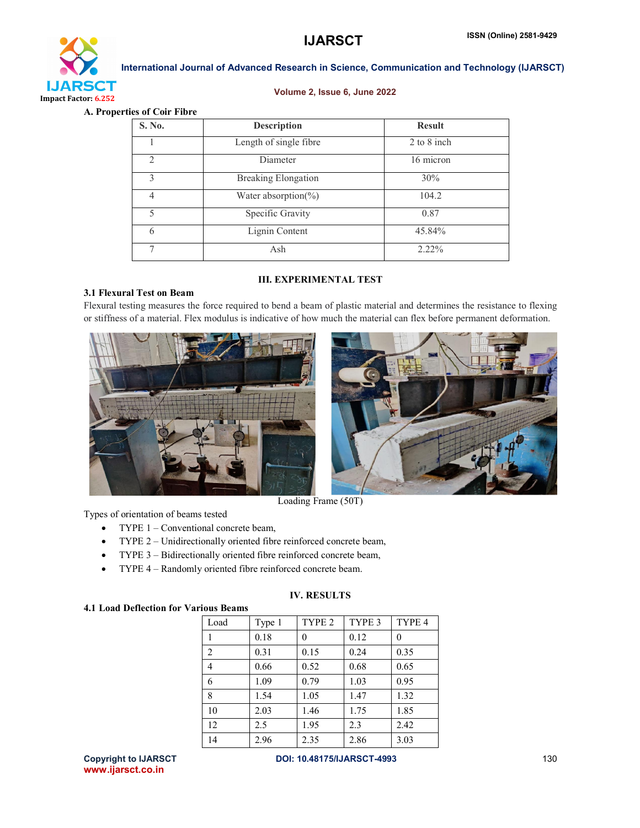

#### Volume 2, Issue 6, June 2022

A. Properties of Coir Fibre

| S. No.         | <b>Description</b>         | <b>Result</b> |
|----------------|----------------------------|---------------|
|                | Length of single fibre     | 2 to 8 inch   |
| $\mathfrak{D}$ | 16 micron<br>Diameter      |               |
| ζ              | <b>Breaking Elongation</b> | 30%           |
| 4              | Water absorption( $\%$ )   | 104.2         |
| 5              | Specific Gravity           | 0.87          |
| 6              | Lignin Content             | 45.84%        |
| 7              | Ash                        | $2.22\%$      |

### 3.1 Flexural Test on Beam

# III. EXPERIMENTAL TEST

Flexural testing measures the force required to bend a beam of plastic material and determines the resistance to flexing or stiffness of a material. Flex modulus is indicative of how much the material can flex before permanent deformation.





Loading Frame (50T)

Types of orientation of beams tested

- TYPE 1 Conventional concrete beam,
- TYPE 2 Unidirectionally oriented fibre reinforced concrete beam,
- TYPE 3 Bidirectionally oriented fibre reinforced concrete beam,
- TYPE 4 Randomly oriented fibre reinforced concrete beam.

# IV. RESULTS

### 4.1 Load Deflection for Various Beams

| Load           | Type 1 | TYPE <sub>2</sub> | TYPE 3 | TYPE 4 |
|----------------|--------|-------------------|--------|--------|
|                | 0.18   | 0                 | 0.12   | 0      |
| $\overline{2}$ | 0.31   | 0.15              | 0.24   | 0.35   |
| 4              | 0.66   | 0.52              | 0.68   | 0.65   |
| 6              | 1.09   | 0.79              | 1.03   | 0.95   |
| 8              | 1.54   | 1.05              | 1.47   | 1.32   |
| 10             | 2.03   | 1.46              | 1.75   | 1.85   |
| 12             | 2.5    | 1.95              | 2.3    | 2.42   |
| 14             | 2.96   | 2.35              | 2.86   | 3.03   |

www.ijarsct.co.in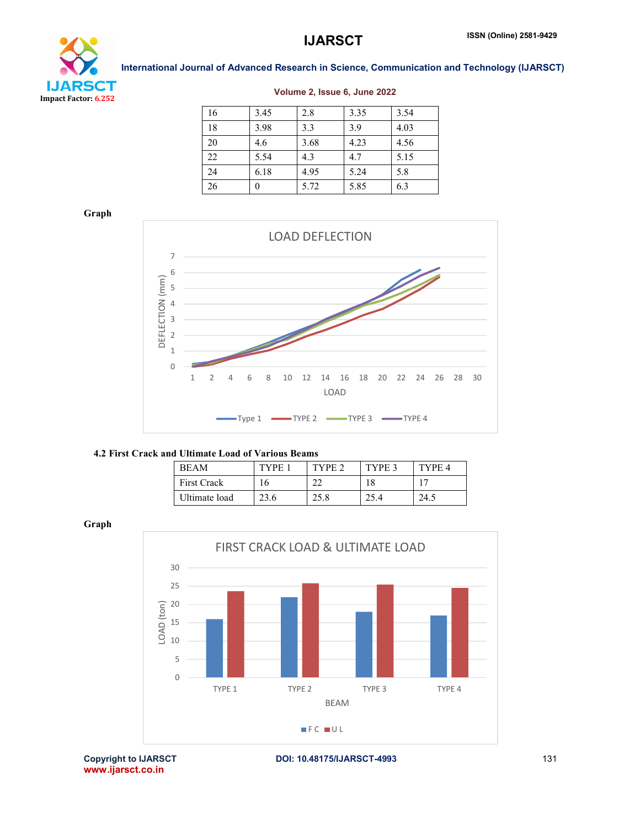



#### Volume 2, Issue 6, June 2022

| 16 | 3.45 | 2.8  | 3.35 | 3.54 |
|----|------|------|------|------|
| 18 | 3.98 | 3.3  | 3.9  | 4.03 |
| 20 | 4.6  | 3.68 | 4.23 | 4.56 |
| 22 | 5.54 | 4.3  | 4.7  | 5.15 |
| 24 | 6.18 | 4.95 | 5.24 | 5.8  |
| 26 | 0    | 5.72 | 5.85 | 6.3  |

Graph



#### 4.2 First Crack and Ultimate Load of Various Beams

| <b>BEAM</b>        | TYPE | TVPF 2 | TYPE 3 | TYPE 4 |
|--------------------|------|--------|--------|--------|
| <b>First Crack</b> |      | ^^     | 18     |        |
| Ultimate load      | 23.6 | 25.8   |        | 24.5   |

Graph



www.ijarsct.co.in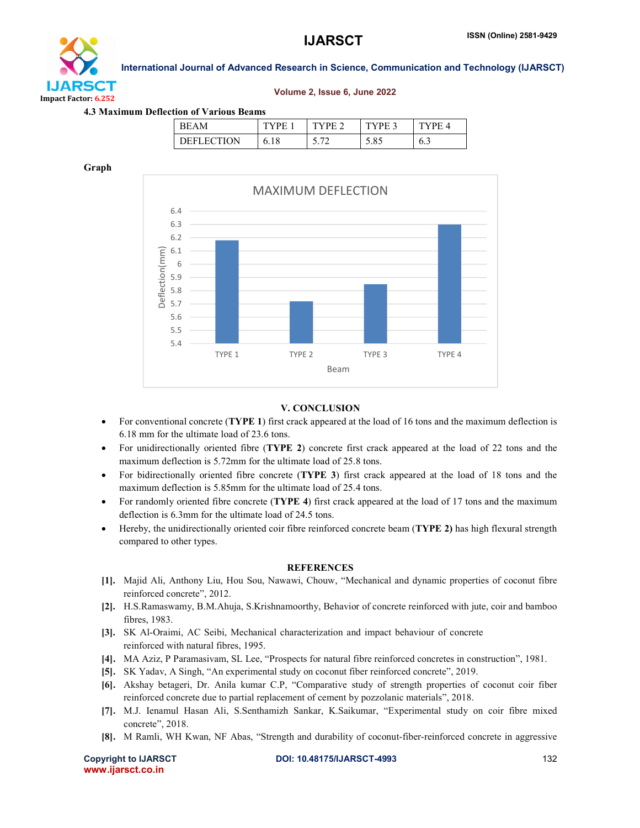

#### Volume 2, Issue 6, June 2022

#### 4.3 Maximum Deflection of Various Beams

| ĸн           | н           | н |               | н<br>$\prime$                 |
|--------------|-------------|---|---------------|-------------------------------|
| ) E FI<br>ы, | <b>v.iv</b> |   | $\sim$ $\sim$ | $\mathsf{v} \cdot \mathsf{v}$ |

#### Graph



#### V. CONCLUSION

- For conventional concrete (TYPE 1) first crack appeared at the load of 16 tons and the maximum deflection is 6.18 mm for the ultimate load of 23.6 tons.
- For unidirectionally oriented fibre (TYPE 2) concrete first crack appeared at the load of 22 tons and the maximum deflection is 5.72mm for the ultimate load of 25.8 tons.
- For bidirectionally oriented fibre concrete (TYPE 3) first crack appeared at the load of 18 tons and the maximum deflection is 5.85mm for the ultimate load of 25.4 tons.
- For randomly oriented fibre concrete (**TYPE 4**) first crack appeared at the load of 17 tons and the maximum deflection is 6.3mm for the ultimate load of 24.5 tons.
- Hereby, the unidirectionally oriented coir fibre reinforced concrete beam (TYPE 2) has high flexural strength compared to other types.

#### **REFERENCES**

- [1]. Majid Ali, Anthony Liu, Hou Sou, Nawawi, Chouw, "Mechanical and dynamic properties of coconut fibre reinforced concrete", 2012.
- [2]. H.S.Ramaswamy, B.M.Ahuja, S.Krishnamoorthy, Behavior of concrete reinforced with jute, coir and bamboo fibres, 1983.
- [3]. SK Al-Oraimi, AC Seibi, Mechanical characterization and impact behaviour of concrete reinforced with natural fibres, 1995.
- [4]. MA Aziz, P Paramasivam, SL Lee, "Prospects for natural fibre reinforced concretes in construction", 1981.
- [5]. SK Yadav, A Singh, "An experimental study on coconut fiber reinforced concrete", 2019.
- [6]. Akshay betageri, Dr. Anila kumar C.P, "Comparative study of strength properties of coconut coir fiber reinforced concrete due to partial replacement of cement by pozzolanic materials", 2018.
- [7]. M.J. Ienamul Hasan Ali, S.Senthamizh Sankar, K.Saikumar, "Experimental study on coir fibre mixed concrete", 2018.
- [8]. M Ramli, WH Kwan, NF Abas, "Strength and durability of coconut-fiber-reinforced concrete in aggressive